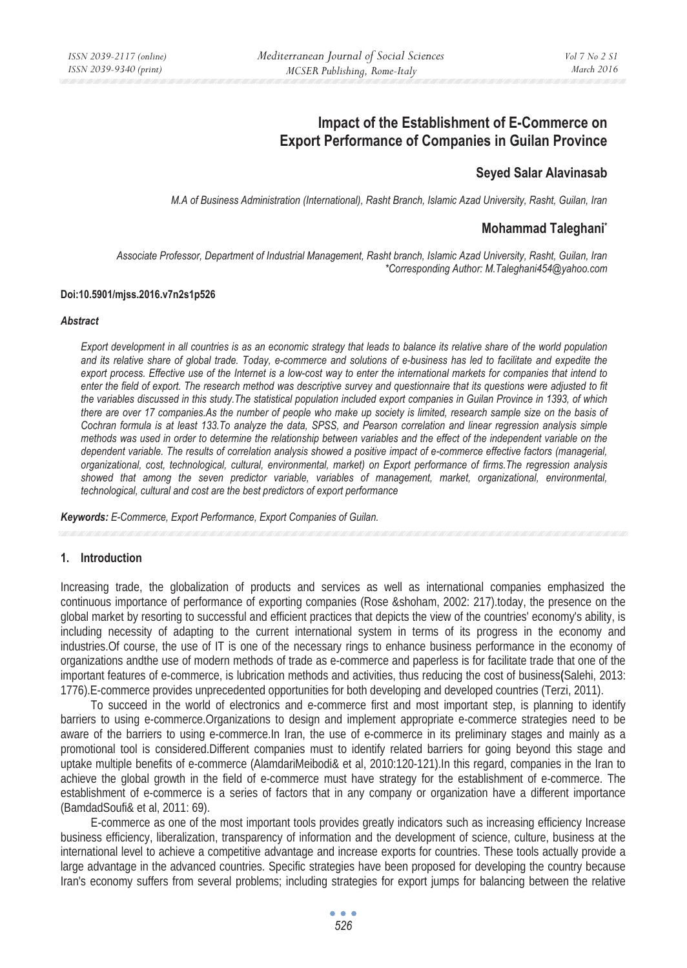# **Impact of the Establishment of E-Commerce on Export Performance of Companies in Guilan Province**

## **Seyed Salar Alavinasab**

*M.A of Business Administration (International), Rasht Branch, Islamic Azad University, Rasht, Guilan, Iran* 

## **Mohammad Taleghani\***

*Associate Professor, Department of Industrial Management, Rasht branch, Islamic Azad University, Rasht, Guilan, Iran \*Corresponding Author: M.Taleghani454@yahoo.com* 

#### **Doi:10.5901/mjss.2016.v7n2s1p526**

#### *Abstract*

*Export development in all countries is as an economic strategy that leads to balance its relative share of the world population and its relative share of global trade. Today, e-commerce and solutions of e-business has led to facilitate and expedite the export process. Effective use of the Internet is a low-cost way to enter the international markets for companies that intend to enter the field of export. The research method was descriptive survey and questionnaire that its questions were adjusted to fit the variables discussed in this study.The statistical population included export companies in Guilan Province in 1393, of which there are over 17 companies.As the number of people who make up society is limited, research sample size on the basis of Cochran formula is at least 133.To analyze the data, SPSS, and Pearson correlation and linear regression analysis simple methods was used in order to determine the relationship between variables and the effect of the independent variable on the dependent variable. The results of correlation analysis showed a positive impact of e-commerce effective factors (managerial, organizational, cost, technological, cultural, environmental, market) on Export performance of firms.The regression analysis*  showed that among the seven predictor variable, variables of management, market, organizational, environmental, *technological, cultural and cost are the best predictors of export performance* 

*Keywords: E-Commerce, Export Performance, Export Companies of Guilan.*

#### **1. Introduction**

Increasing trade, the globalization of products and services as well as international companies emphasized the continuous importance of performance of exporting companies (Rose &shoham, 2002: 217).today, the presence on the global market by resorting to successful and efficient practices that depicts the view of the countries' economy's ability, is including necessity of adapting to the current international system in terms of its progress in the economy and industries.Of course, the use of IT is one of the necessary rings to enhance business performance in the economy of organizations andthe use of modern methods of trade as e-commerce and paperless is for facilitate trade that one of the important features of e-commerce, is lubrication methods and activities, thus reducing the cost of business**(**Salehi, 2013: 1776).E-commerce provides unprecedented opportunities for both developing and developed countries (Terzi, 2011).

To succeed in the world of electronics and e-commerce first and most important step, is planning to identify barriers to using e-commerce.Organizations to design and implement appropriate e-commerce strategies need to be aware of the barriers to using e-commerce.In Iran, the use of e-commerce in its preliminary stages and mainly as a promotional tool is considered.Different companies must to identify related barriers for going beyond this stage and uptake multiple benefits of e-commerce (AlamdariMeibodi& et al, 2010:120-121).In this regard, companies in the Iran to achieve the global growth in the field of e-commerce must have strategy for the establishment of e-commerce. The establishment of e-commerce is a series of factors that in any company or organization have a different importance (BamdadSoufi& et al, 2011: 69).

E-commerce as one of the most important tools provides greatly indicators such as increasing efficiency Increase business efficiency, liberalization, transparency of information and the development of science, culture, business at the international level to achieve a competitive advantage and increase exports for countries. These tools actually provide a large advantage in the advanced countries. Specific strategies have been proposed for developing the country because Iran's economy suffers from several problems; including strategies for export jumps for balancing between the relative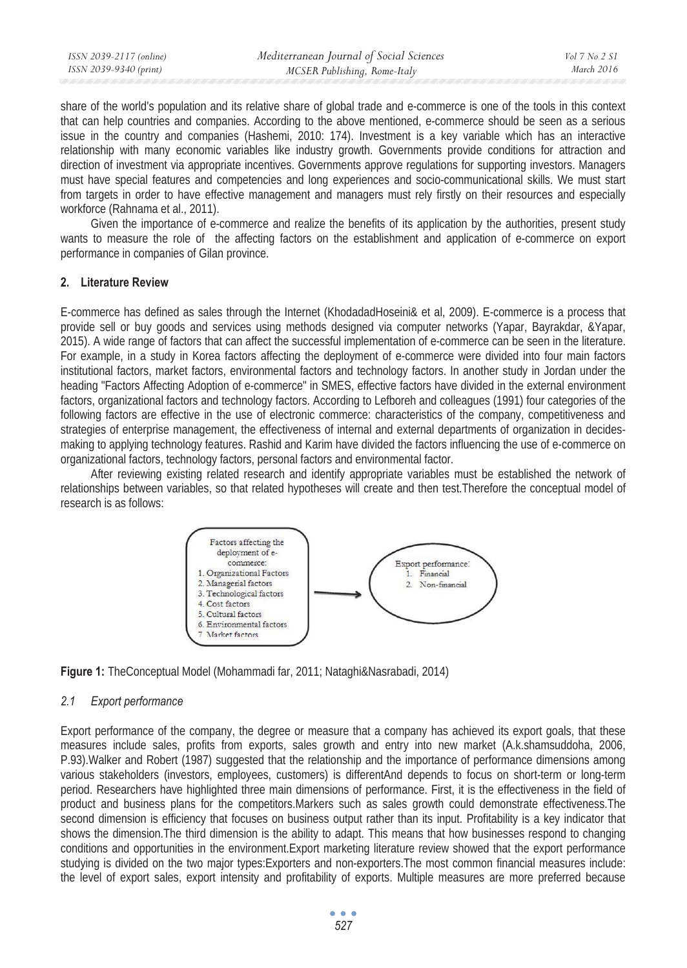| ISSN 2039-2117 (online) | Mediterranean Journal of Social Sciences | Vol 7 No 2 S1 |
|-------------------------|------------------------------------------|---------------|
| ISSN 2039-9340 (print)  | MCSER Publishing, Rome-Italy             | March 2016    |

share of the world's population and its relative share of global trade and e-commerce is one of the tools in this context that can help countries and companies. According to the above mentioned, e-commerce should be seen as a serious issue in the country and companies (Hashemi, 2010: 174). Investment is a key variable which has an interactive relationship with many economic variables like industry growth. Governments provide conditions for attraction and direction of investment via appropriate incentives. Governments approve regulations for supporting investors. Managers must have special features and competencies and long experiences and socio-communicational skills. We must start from targets in order to have effective management and managers must rely firstly on their resources and especially workforce (Rahnama et al., 2011).

Given the importance of e-commerce and realize the benefits of its application by the authorities, present study wants to measure the role of the affecting factors on the establishment and application of e-commerce on export performance in companies of Gilan province.

## **2. Literature Review**

E-commerce has defined as sales through the Internet (KhodadadHoseini& et al, 2009). E-commerce is a process that provide sell or buy goods and services using methods designed via computer networks (Yapar, Bayrakdar, &Yapar, 2015). A wide range of factors that can affect the successful implementation of e-commerce can be seen in the literature. For example, in a study in Korea factors affecting the deployment of e-commerce were divided into four main factors institutional factors, market factors, environmental factors and technology factors. In another study in Jordan under the heading "Factors Affecting Adoption of e-commerce" in SMES, effective factors have divided in the external environment factors, organizational factors and technology factors. According to Lefboreh and colleagues (1991) four categories of the following factors are effective in the use of electronic commerce: characteristics of the company, competitiveness and strategies of enterprise management, the effectiveness of internal and external departments of organization in decidesmaking to applying technology features. Rashid and Karim have divided the factors influencing the use of e-commerce on organizational factors, technology factors, personal factors and environmental factor.

After reviewing existing related research and identify appropriate variables must be established the network of relationships between variables, so that related hypotheses will create and then test.Therefore the conceptual model of research is as follows:



**Figure 1:** TheConceptual Model (Mohammadi far, 2011; Nataghi&Nasrabadi, 2014)

## *2.1 Export performance*

Export performance of the company, the degree or measure that a company has achieved its export goals, that these measures include sales, profits from exports, sales growth and entry into new market (A.k.shamsuddoha, 2006, P.93).Walker and Robert (1987) suggested that the relationship and the importance of performance dimensions among various stakeholders (investors, employees, customers) is differentAnd depends to focus on short-term or long-term period. Researchers have highlighted three main dimensions of performance. First, it is the effectiveness in the field of product and business plans for the competitors.Markers such as sales growth could demonstrate effectiveness.The second dimension is efficiency that focuses on business output rather than its input. Profitability is a key indicator that shows the dimension.The third dimension is the ability to adapt. This means that how businesses respond to changing conditions and opportunities in the environment.Export marketing literature review showed that the export performance studying is divided on the two major types:Exporters and non-exporters.The most common financial measures include: the level of export sales, export intensity and profitability of exports. Multiple measures are more preferred because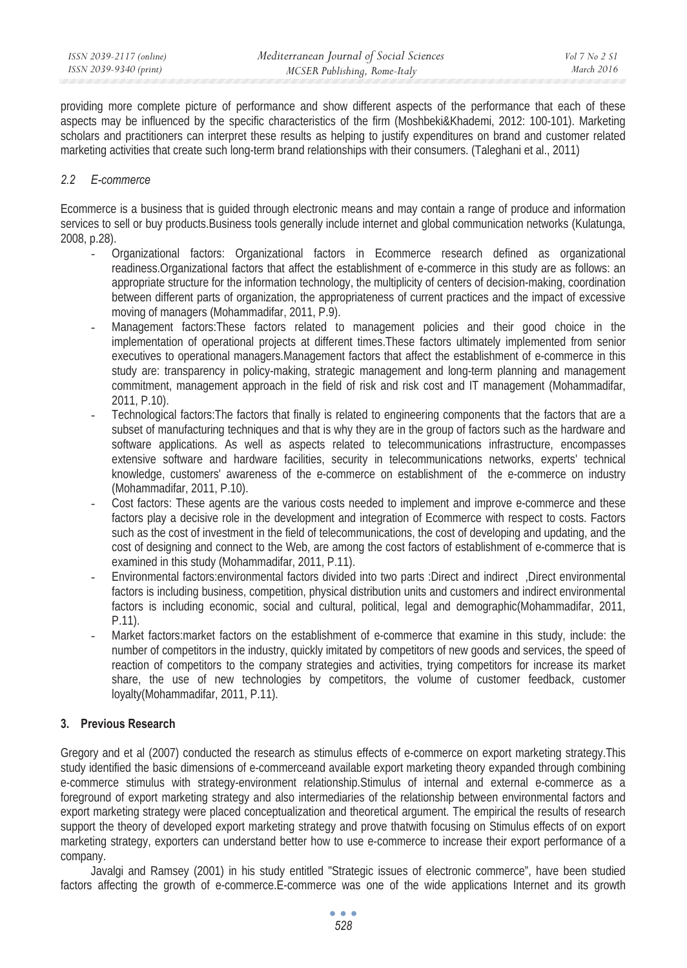providing more complete picture of performance and show different aspects of the performance that each of these aspects may be influenced by the specific characteristics of the firm (Moshbeki&Khademi, 2012: 100-101). Marketing scholars and practitioners can interpret these results as helping to justify expenditures on brand and customer related marketing activities that create such long-term brand relationships with their consumers. (Taleghani et al., 2011)

## *2.2 E-commerce*

Ecommerce is a business that is guided through electronic means and may contain a range of produce and information services to sell or buy products.Business tools generally include internet and global communication networks (Kulatunga, 2008, p.28).

- Organizational factors: Organizational factors in Ecommerce research defined as organizational readiness.Organizational factors that affect the establishment of e-commerce in this study are as follows: an appropriate structure for the information technology, the multiplicity of centers of decision-making, coordination between different parts of organization, the appropriateness of current practices and the impact of excessive moving of managers (Mohammadifar, 2011, P.9).
- Management factors: These factors related to management policies and their good choice in the implementation of operational projects at different times.These factors ultimately implemented from senior executives to operational managers.Management factors that affect the establishment of e-commerce in this study are: transparency in policy-making, strategic management and long-term planning and management commitment, management approach in the field of risk and risk cost and IT management (Mohammadifar, 2011, P.10).
- Technological factors:The factors that finally is related to engineering components that the factors that are a subset of manufacturing techniques and that is why they are in the group of factors such as the hardware and software applications. As well as aspects related to telecommunications infrastructure, encompasses extensive software and hardware facilities, security in telecommunications networks, experts' technical knowledge, customers' awareness of the e-commerce on establishment of the e-commerce on industry (Mohammadifar, 2011, P.10).
- Cost factors: These agents are the various costs needed to implement and improve e-commerce and these factors play a decisive role in the development and integration of Ecommerce with respect to costs. Factors such as the cost of investment in the field of telecommunications, the cost of developing and updating, and the cost of designing and connect to the Web, are among the cost factors of establishment of e-commerce that is examined in this study (Mohammadifar, 2011, P.11).
- Environmental factors:environmental factors divided into two parts :Direct and indirect ,Direct environmental factors is including business, competition, physical distribution units and customers and indirect environmental factors is including economic, social and cultural, political, legal and demographic(Mohammadifar, 2011, P.11).
- Market factors: market factors on the establishment of e-commerce that examine in this study, include: the number of competitors in the industry, quickly imitated by competitors of new goods and services, the speed of reaction of competitors to the company strategies and activities, trying competitors for increase its market share, the use of new technologies by competitors, the volume of customer feedback, customer loyalty(Mohammadifar, 2011, P.11).

## **3. Previous Research**

Gregory and et al (2007) conducted the research as stimulus effects of e-commerce on export marketing strategy.This study identified the basic dimensions of e-commerceand available export marketing theory expanded through combining e-commerce stimulus with strategy-environment relationship.Stimulus of internal and external e-commerce as a foreground of export marketing strategy and also intermediaries of the relationship between environmental factors and export marketing strategy were placed conceptualization and theoretical argument. The empirical the results of research support the theory of developed export marketing strategy and prove thatwith focusing on Stimulus effects of on export marketing strategy, exporters can understand better how to use e-commerce to increase their export performance of a company.

Javalgi and Ramsey (2001) in his study entitled "Strategic issues of electronic commerce", have been studied factors affecting the growth of e-commerce.E-commerce was one of the wide applications Internet and its growth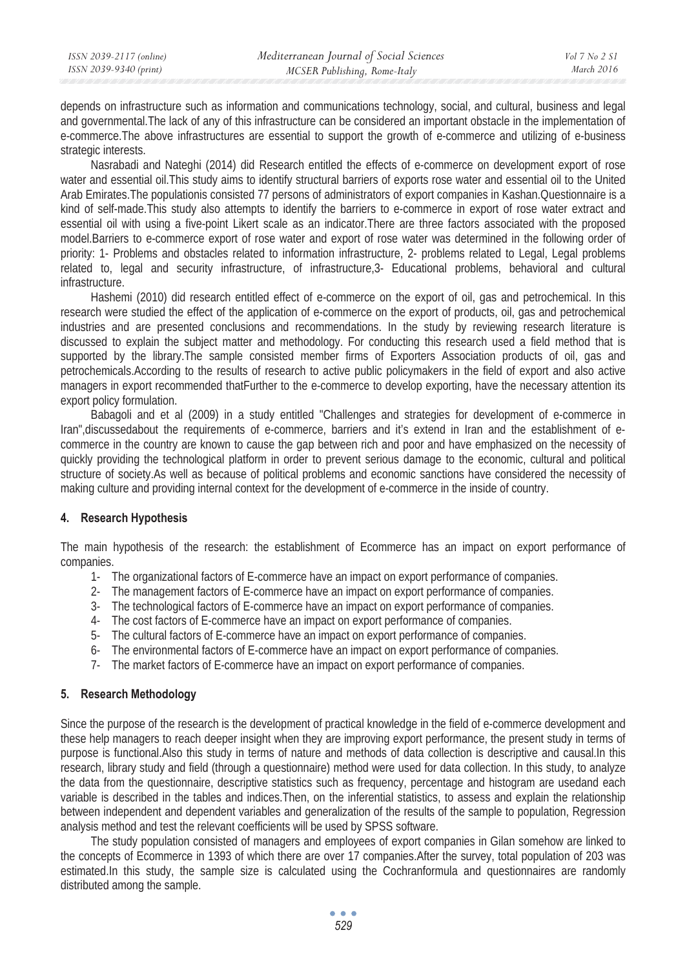depends on infrastructure such as information and communications technology, social, and cultural, business and legal and governmental.The lack of any of this infrastructure can be considered an important obstacle in the implementation of e-commerce.The above infrastructures are essential to support the growth of e-commerce and utilizing of e-business strategic interests.

Nasrabadi and Nateghi (2014) did Research entitled the effects of e-commerce on development export of rose water and essential oil.This study aims to identify structural barriers of exports rose water and essential oil to the United Arab Emirates.The populationis consisted 77 persons of administrators of export companies in Kashan.Questionnaire is a kind of self-made.This study also attempts to identify the barriers to e-commerce in export of rose water extract and essential oil with using a five-point Likert scale as an indicator.There are three factors associated with the proposed model.Barriers to e-commerce export of rose water and export of rose water was determined in the following order of priority: 1- Problems and obstacles related to information infrastructure, 2- problems related to Legal, Legal problems related to, legal and security infrastructure, of infrastructure,3- Educational problems, behavioral and cultural infrastructure.

Hashemi (2010) did research entitled effect of e-commerce on the export of oil, gas and petrochemical. In this research were studied the effect of the application of e-commerce on the export of products, oil, gas and petrochemical industries and are presented conclusions and recommendations. In the study by reviewing research literature is discussed to explain the subject matter and methodology. For conducting this research used a field method that is supported by the library.The sample consisted member firms of Exporters Association products of oil, gas and petrochemicals.According to the results of research to active public policymakers in the field of export and also active managers in export recommended thatFurther to the e-commerce to develop exporting, have the necessary attention its export policy formulation.

Babagoli and et al (2009) in a study entitled "Challenges and strategies for development of e-commerce in Iran",discussedabout the requirements of e-commerce, barriers and it's extend in Iran and the establishment of ecommerce in the country are known to cause the gap between rich and poor and have emphasized on the necessity of quickly providing the technological platform in order to prevent serious damage to the economic, cultural and political structure of society.As well as because of political problems and economic sanctions have considered the necessity of making culture and providing internal context for the development of e-commerce in the inside of country.

## **4. Research Hypothesis**

The main hypothesis of the research: the establishment of Ecommerce has an impact on export performance of companies.

- 1- The organizational factors of E-commerce have an impact on export performance of companies.
- 2- The management factors of E-commerce have an impact on export performance of companies.
- 3- The technological factors of E-commerce have an impact on export performance of companies.
- 4- The cost factors of E-commerce have an impact on export performance of companies.
- 5- The cultural factors of E-commerce have an impact on export performance of companies.
- 6- The environmental factors of E-commerce have an impact on export performance of companies.
- 7- The market factors of E-commerce have an impact on export performance of companies.

## **5. Research Methodology**

Since the purpose of the research is the development of practical knowledge in the field of e-commerce development and these help managers to reach deeper insight when they are improving export performance, the present study in terms of purpose is functional.Also this study in terms of nature and methods of data collection is descriptive and causal.In this research, library study and field (through a questionnaire) method were used for data collection. In this study, to analyze the data from the questionnaire, descriptive statistics such as frequency, percentage and histogram are usedand each variable is described in the tables and indices.Then, on the inferential statistics, to assess and explain the relationship between independent and dependent variables and generalization of the results of the sample to population, Regression analysis method and test the relevant coefficients will be used by SPSS software.

The study population consisted of managers and employees of export companies in Gilan somehow are linked to the concepts of Ecommerce in 1393 of which there are over 17 companies.After the survey, total population of 203 was estimated.In this study, the sample size is calculated using the Cochranformula and questionnaires are randomly distributed among the sample.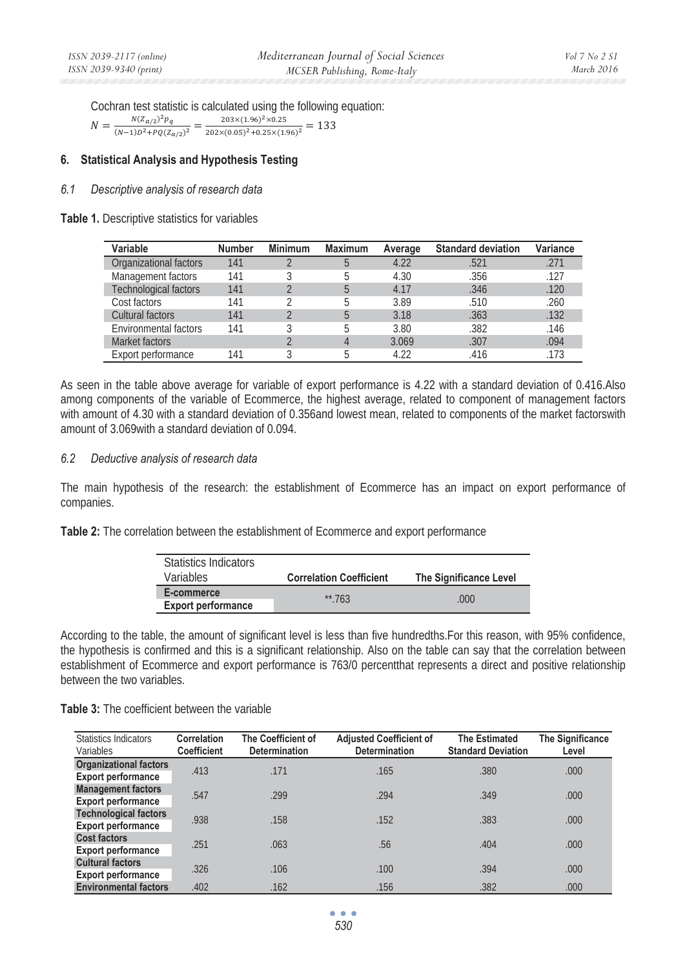Cochran test statistic is calculated using the following equation:  $N = \frac{N(Z_{a/2})^2 p_q}{n}$  $203 \times (1.96)^2 \times 0.25$ 

$$
V = \frac{N(2a/2)}{(N-1)D^2 + PQ(Z_{a/2})^2} = \frac{203 \times (1.96) \times 0.25}{202 \times (0.05)^2 + 0.25 \times (1.96)^2} = 133
$$

## **6. Statistical Analysis and Hypothesis Testing**

## *6.1 Descriptive analysis of research data*

## **Table 1.** Descriptive statistics for variables

| Variable                     | <b>Number</b> | <b>Minimum</b> | <b>Maximum</b> | Average | <b>Standard deviation</b> | Variance |
|------------------------------|---------------|----------------|----------------|---------|---------------------------|----------|
| Organizational factors       | 141           |                |                | 4.22    | .521                      | .271     |
| Management factors           | 141           |                | h              | 4.30    | .356                      | .127     |
| Technological factors        | 141           |                |                | 4.17    | .346                      | .120     |
| Cost factors                 | 141           |                |                | 3.89    | .510                      | .260     |
| <b>Cultural factors</b>      | 141           |                |                | 3.18    | .363                      | .132     |
| <b>Environmental factors</b> | 141           |                | 5              | 3.80    | .382                      | .146     |
| Market factors               |               |                |                | 3.069   | .307                      | .094     |
| Export performance           | 141           |                |                | 4.22    | .416                      | .173     |

As seen in the table above average for variable of export performance is 4.22 with a standard deviation of 0.416.Also among components of the variable of Ecommerce, the highest average, related to component of management factors with amount of 4.30 with a standard deviation of 0.356and lowest mean, related to components of the market factorswith amount of 3.069with a standard deviation of 0.094.

## *6.2 Deductive analysis of research data*

The main hypothesis of the research: the establishment of Ecommerce has an impact on export performance of companies.

**Table 2:** The correlation between the establishment of Ecommerce and export performance

| Statistics Indicators<br>Variables      | <b>Correlation Coefficient</b> | <b>The Significance Level</b> |
|-----------------------------------------|--------------------------------|-------------------------------|
| E-commerce<br><b>Export performance</b> | ** 763                         | .000                          |

According to the table, the amount of significant level is less than five hundredths.For this reason, with 95% confidence, the hypothesis is confirmed and this is a significant relationship. Also on the table can say that the correlation between establishment of Ecommerce and export performance is 763/0 percentthat represents a direct and positive relationship between the two variables.

## **Table 3:** The coefficient between the variable

| <b>Statistics Indicators</b><br><b>Variables</b>           | <b>Correlation</b><br><b>Coefficient</b> | The Coefficient of<br><b>Determination</b> | <b>Adjusted Coefficient of</b><br><b>Determination</b> | <b>The Estimated</b><br><b>Standard Deviation</b> | <b>The Significance</b><br>Level |
|------------------------------------------------------------|------------------------------------------|--------------------------------------------|--------------------------------------------------------|---------------------------------------------------|----------------------------------|
| <b>Organizational factors</b><br><b>Export performance</b> | .413                                     | .171                                       | .165                                                   | .380                                              | .000                             |
| <b>Management factors</b><br><b>Export performance</b>     | .547                                     | .299                                       | .294                                                   | .349                                              | .000                             |
| <b>Technological factors</b><br><b>Export performance</b>  | .938                                     | .158                                       | .152                                                   | .383                                              | .000                             |
| <b>Cost factors</b><br><b>Export performance</b>           | .251                                     | .063                                       | .56                                                    | .404                                              | .000.                            |
| <b>Cultural factors</b><br><b>Export performance</b>       | .326                                     | .106                                       | .100                                                   | .394                                              | .000                             |
| <b>Environmental factors</b>                               | .402                                     | .162                                       | .156                                                   | .382                                              | .000                             |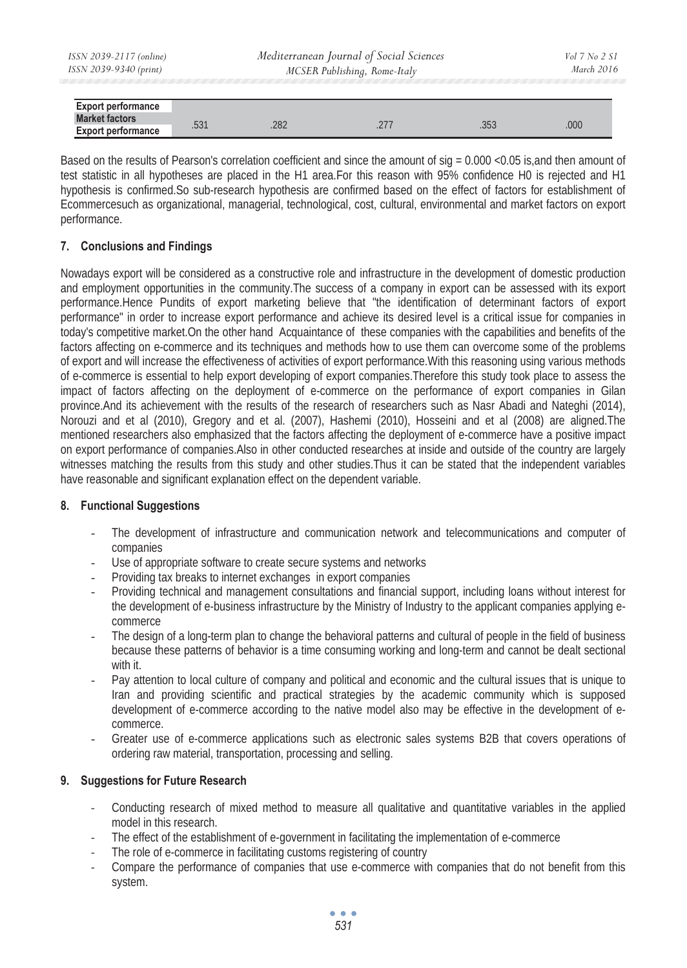| ISSN 2039-2117 (online) | Mediterranean Journal of Social Sciences | Vol 7 No 2 S1 |
|-------------------------|------------------------------------------|---------------|
| ISSN 2039-9340 (print)  | MCSER Publishing, Rome-Italy             | March 2016    |
|                         |                                          |               |

| <b>Export performance</b> |           |      |      |         |     |
|---------------------------|-----------|------|------|---------|-----|
| <b>Market factors</b>     | $-\alpha$ | .282 |      | つにつ     | 000 |
| <b>Export performance</b> | ו טט.     |      | $-1$ | . J J J |     |

Based on the results of Pearson's correlation coefficient and since the amount of sig = 0.000 <0.05 is,and then amount of test statistic in all hypotheses are placed in the H1 area.For this reason with 95% confidence H0 is rejected and H1 hypothesis is confirmed.So sub-research hypothesis are confirmed based on the effect of factors for establishment of Ecommercesuch as organizational, managerial, technological, cost, cultural, environmental and market factors on export performance.

## **7. Conclusions and Findings**

Nowadays export will be considered as a constructive role and infrastructure in the development of domestic production and employment opportunities in the community.The success of a company in export can be assessed with its export performance.Hence Pundits of export marketing believe that "the identification of determinant factors of export performance" in order to increase export performance and achieve its desired level is a critical issue for companies in today's competitive market.On the other hand Acquaintance of these companies with the capabilities and benefits of the factors affecting on e-commerce and its techniques and methods how to use them can overcome some of the problems of export and will increase the effectiveness of activities of export performance.With this reasoning using various methods of e-commerce is essential to help export developing of export companies.Therefore this study took place to assess the impact of factors affecting on the deployment of e-commerce on the performance of export companies in Gilan province.And its achievement with the results of the research of researchers such as Nasr Abadi and Nateghi (2014), Norouzi and et al (2010), Gregory and et al. (2007), Hashemi (2010), Hosseini and et al (2008) are aligned.The mentioned researchers also emphasized that the factors affecting the deployment of e-commerce have a positive impact on export performance of companies.Also in other conducted researches at inside and outside of the country are largely witnesses matching the results from this study and other studies.Thus it can be stated that the independent variables have reasonable and significant explanation effect on the dependent variable.

## **8. Functional Suggestions**

- The development of infrastructure and communication network and telecommunications and computer of companies
- Use of appropriate software to create secure systems and networks
- Providing tax breaks to internet exchanges in export companies
- Providing technical and management consultations and financial support, including loans without interest for the development of e-business infrastructure by the Ministry of Industry to the applicant companies applying ecommerce
- The design of a long-term plan to change the behavioral patterns and cultural of people in the field of business because these patterns of behavior is a time consuming working and long-term and cannot be dealt sectional with it.
- Pay attention to local culture of company and political and economic and the cultural issues that is unique to Iran and providing scientific and practical strategies by the academic community which is supposed development of e-commerce according to the native model also may be effective in the development of ecommerce.
- Greater use of e-commerce applications such as electronic sales systems B2B that covers operations of ordering raw material, transportation, processing and selling.

## **9. Suggestions for Future Research**

- Conducting research of mixed method to measure all qualitative and quantitative variables in the applied model in this research.
- The effect of the establishment of e-government in facilitating the implementation of e-commerce
- The role of e-commerce in facilitating customs registering of country
- Compare the performance of companies that use e-commerce with companies that do not benefit from this system.